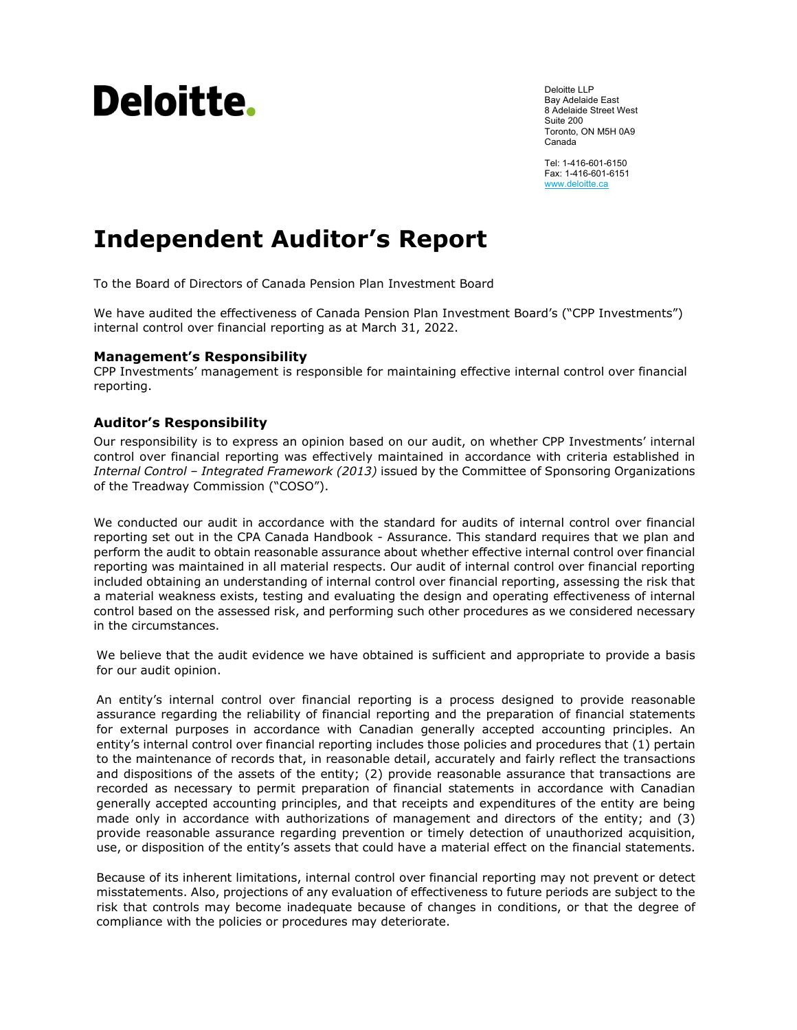# Deloitte.

Deloitte LLP Bay Adelaide East 8 Adelaide Street West Suite 200 Toronto, ON M5H 0A9 Canada

Tel: 1-416-601-6150 Fax: 1-416-601-6151 [www.deloitte.ca](http://www.deloitte.com/)

# **Independent Auditor's Report**

To the Board of Directors of Canada Pension Plan Investment Board

We have audited the effectiveness of Canada Pension Plan Investment Board's ("CPP Investments") internal control over financial reporting as at March 31, 2022.

#### **Management's Responsibility**

CPP Investments' management is responsible for maintaining effective internal control over financial reporting.

## **Auditor's Responsibility**

Our responsibility is to express an opinion based on our audit, on whether CPP Investments' internal control over financial reporting was effectively maintained in accordance with criteria established in *Internal Control – Integrated Framework (2013)* issued by the Committee of Sponsoring Organizations of the Treadway Commission ("COSO").

We conducted our audit in accordance with the standard for audits of internal control over financial reporting set out in the CPA Canada Handbook - Assurance. This standard requires that we plan and perform the audit to obtain reasonable assurance about whether effective internal control over financial reporting was maintained in all material respects. Our audit of internal control over financial reporting included obtaining an understanding of internal control over financial reporting, assessing the risk that a material weakness exists, testing and evaluating the design and operating effectiveness of internal control based on the assessed risk, and performing such other procedures as we considered necessary in the circumstances.

We believe that the audit evidence we have obtained is sufficient and appropriate to provide a basis for our audit opinion.

An entity's internal control over financial reporting is a process designed to provide reasonable assurance regarding the reliability of financial reporting and the preparation of financial statements for external purposes in accordance with Canadian generally accepted accounting principles. An entity's internal control over financial reporting includes those policies and procedures that (1) pertain to the maintenance of records that, in reasonable detail, accurately and fairly reflect the transactions and dispositions of the assets of the entity; (2) provide reasonable assurance that transactions are recorded as necessary to permit preparation of financial statements in accordance with Canadian generally accepted accounting principles, and that receipts and expenditures of the entity are being made only in accordance with authorizations of management and directors of the entity; and (3) provide reasonable assurance regarding prevention or timely detection of unauthorized acquisition, use, or disposition of the entity's assets that could have a material effect on the financial statements.

Because of its inherent limitations, internal control over financial reporting may not prevent or detect misstatements. Also, projections of any evaluation of effectiveness to future periods are subject to the risk that controls may become inadequate because of changes in conditions, or that the degree of compliance with the policies or procedures may deteriorate.